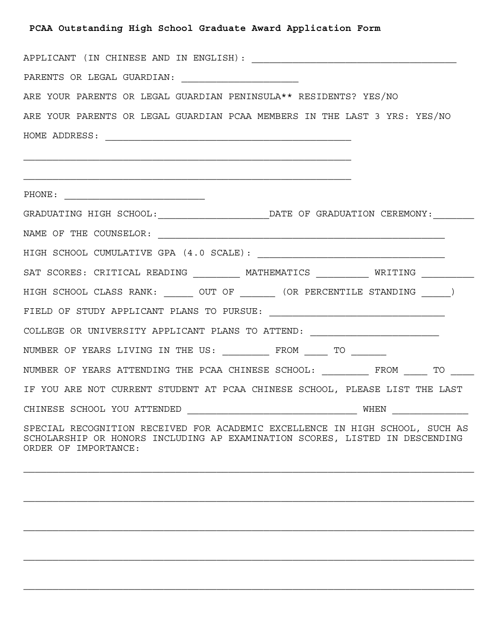## **PCAA Outstanding High School Graduate Award Application Form**

| ARE YOUR PARENTS OR LEGAL GUARDIAN PENINSULA** RESIDENTS? YES/NO                                                                                                                                                                                                                                                                     |
|--------------------------------------------------------------------------------------------------------------------------------------------------------------------------------------------------------------------------------------------------------------------------------------------------------------------------------------|
| ARE YOUR PARENTS OR LEGAL GUARDIAN PCAA MEMBERS IN THE LAST 3 YRS: YES/NO                                                                                                                                                                                                                                                            |
|                                                                                                                                                                                                                                                                                                                                      |
|                                                                                                                                                                                                                                                                                                                                      |
|                                                                                                                                                                                                                                                                                                                                      |
|                                                                                                                                                                                                                                                                                                                                      |
| GRADUATING HIGH SCHOOL: ____________________________DATE OF GRADUATION CEREMONY: _______                                                                                                                                                                                                                                             |
|                                                                                                                                                                                                                                                                                                                                      |
|                                                                                                                                                                                                                                                                                                                                      |
| SAT SCORES: CRITICAL READING __________ MATHEMATICS ___________ WRITING _________                                                                                                                                                                                                                                                    |
| HIGH SCHOOL CLASS RANK: _______ OUT OF _______ (OR PERCENTILE STANDING ______)                                                                                                                                                                                                                                                       |
|                                                                                                                                                                                                                                                                                                                                      |
| COLLEGE OR UNIVERSITY APPLICANT PLANS TO ATTEND: _______________________________                                                                                                                                                                                                                                                     |
| NUMBER OF YEARS LIVING IN THE US: __________ FROM _____ TO _______                                                                                                                                                                                                                                                                   |
| NUMBER OF YEARS ATTENDING THE PCAA CHINESE SCHOOL: ________ FROM ____ TO ____                                                                                                                                                                                                                                                        |
| IF YOU ARE NOT CURRENT STUDENT AT PCAA CHINESE SCHOOL, PLEASE LIST THE LAST                                                                                                                                                                                                                                                          |
| CHINESE SCHOOL YOU ATTENDED $\begin{picture}(10,10) \put(0,0){\line(1,0){155}} \put(1,0){\line(1,0){155}} \put(1,0){\line(1,0){155}} \put(1,0){\line(1,0){155}} \put(1,0){\line(1,0){155}} \put(1,0){\line(1,0){155}} \put(1,0){\line(1,0){155}} \put(1,0){\line(1,0){155}} \put(1,0){\line(1,0){155}} \put(1,0){\line(1,0){155}} \$ |
| SPECIAL RECOGNITION RECEIVED FOR ACADEMIC EXCELLENCE IN HIGH SCHOOL, SUCH AS<br>SCHOLARSHIP OR HONORS INCLUDING AP EXAMINATION SCORES, LISTED IN DESCENDING<br>ORDER OF IMPORTANCE:                                                                                                                                                  |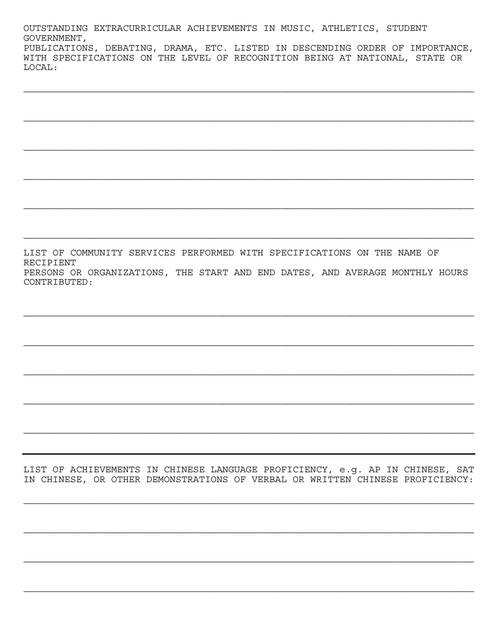OUTSTANDING EXTRACURRICULAR ACHIEVEMENTS IN MUSIC, ATHLETICS, STUDENT GOVERNMENT, PUBLICATIONS, DEBATING, DRAMA, ETC. LISTED IN DESCENDING ORDER OF IMPORTANCE, WITH SPECIFICATIONS ON THE LEVEL OF RECOGNITION BEING AT NATIONAL, STATE OR LOCAL:

LIST OF COMMUNITY SERVICES PERFORMED WITH SPECIFICATIONS ON THE NAME OF **RECIPIENT** PERSONS OR ORGANIZATIONS, THE START AND END DATES, AND AVERAGE MONTHLY HOURS CONTRIBUTED:

LIST OF ACHIEVEMENTS IN CHINESE LANGUAGE PROFICIENCY, e.g. AP IN CHINESE, SAT IN CHINESE, OR OTHER DEMONSTRATIONS OF VERBAL OR WRITTEN CHINESE PROFICIENCY: